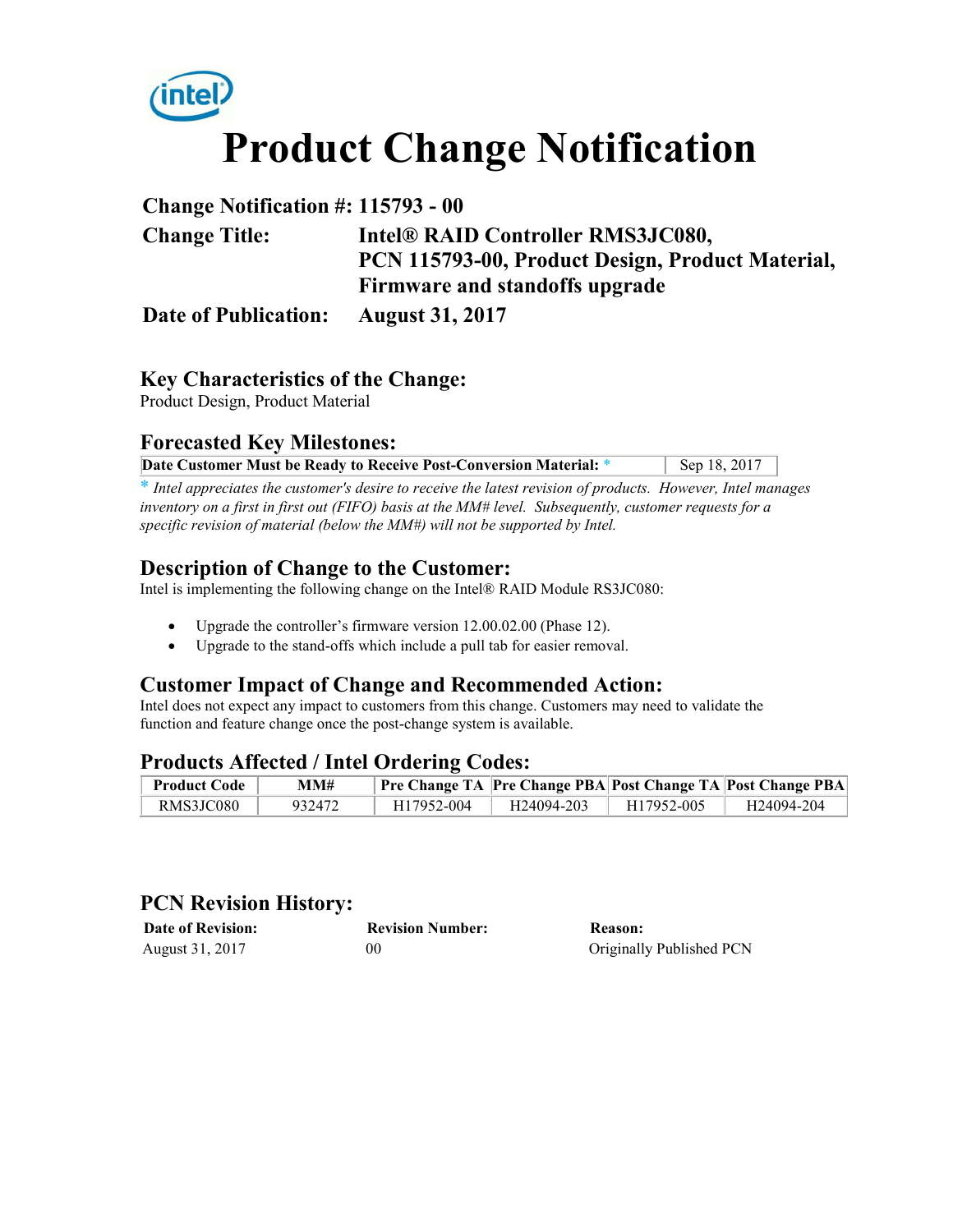

| <b>Change Notification #: 115793 - 00</b> |                                                  |  |
|-------------------------------------------|--------------------------------------------------|--|
| <b>Change Title:</b>                      | Intel® RAID Controller RMS3JC080,                |  |
|                                           | PCN 115793-00, Product Design, Product Material, |  |
|                                           | Firmware and standoffs upgrade                   |  |
| <b>Date of Publication:</b>               | <b>August 31, 2017</b>                           |  |

#### **Key Characteristics of the Change:**

Product Design, Product Material

# **Forecasted Key Milestones:**

| Date Customer Must be Ready to Receive Post-Conversion Material: * | Sep 18, 2017 |
|--------------------------------------------------------------------|--------------|

\* *Intel appreciates the customer's desire to receive the latest revision of products. However, Intel manages inventory on a first in first out (FIFO) basis at the MM# level. Subsequently, customer requests for a specific revision of material (below the MM#) will not be supported by Intel.*

#### **Description of Change to the Customer:**

Intel is implementing the following change on the Intel® RAID Module RS3JC080:

- Upgrade the controller's firmware version 12.00.02.00 (Phase 12).
- Upgrade to the stand-offs which include a pull tab for easier removal.

# **Customer Impact of Change and Recommended Action:**

Intel does not expect any impact to customers from this change. Customers may need to validate the function and feature change once the post-change system is available.

# **Products Affected / Intel Ordering Codes:**

| - Product Code | MM#    |                         |                        |            | Pre Change TA   Pre Change PBA  Post Change TA   Post Change PBA |
|----------------|--------|-------------------------|------------------------|------------|------------------------------------------------------------------|
| RMS3JC080      | 932472 | H <sub>17952</sub> -004 | H <sub>24094-203</sub> | H17952-005 | H24094-204                                                       |

#### **PCN Revision History:**

| <b>Date of Revision:</b> | <b>Revision Number:</b> | Reason:                  |
|--------------------------|-------------------------|--------------------------|
| August 31, 2017          | 00                      | Originally Published PCN |